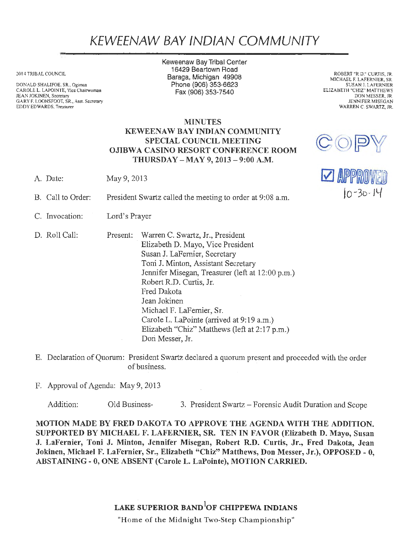## KEWEENAW BAY IND/AN COMMUNITY

2014 TRIBAL COUNCIL

DONALD SHALIFOE, SR., Ogimaa CAROLE L. LAPOINTE, Vice Chairwoman JEAN JOKINEN, Secretary GARY F. LOONSFOOT, SR., Asst. Secretary EDDY EDWARDS, Treasurer

Keweenaw Bay Tribal Center 16429 Beartown Road Baraga, Michigan 49908 Phone(906) 353-6623 Fax(906)353-7540

ROBERT "R.D." CURTIS, JR. MICHAEL F. LAFERNIER, SR. SUSAN J. LAFERNIER ELIZABETH "CHIZ" MATTHEWS DON MESSER, JR. JENNIFER MISEGAN WARREN C. SWARTZ, JR.

**DE RIFFINONED** jo-3o-*/L-{* 

 $\mathbb{C}^{\mathbb{O}}$ 

## MINUTES KEWEENAW BAY INDIAN COMMUNITY SPECIAL COUNCIL MEETING OJIBWA CASINO RESORT CONFERENCE ROOM THURSDAY-MAY 9, 2013-9:00 A.M.

- A. Date: May 9, 2013
- B. Call to Order: President Swartz called the meeting to order at 9:08 a.m.
- C. Invocation: Lord's Prayer
- D. Roll Call: Present: Warren C. Swartz, Jr., President . Elizabeth D. Mayo, Vice President Susan J. LaFernier, Secretary Toni J. Minton, Assistant Secretary Jennifer Misegan, Treasurer (left at 12:00 p.m.) Robert R.D. Curtis, Jr. Fred Dakota Jean Jokinen Michael F. LaFernier, Sr. Carole L. LaPointe (arrived at 9:19 a.m.) Elizabeth "Chiz" Matthews (left at 2:17 p.m.) Dori Messer, Jr.
- E. Declaration of Quorum: President Swartz declared a quorum present and proceeded with the order of business. ·
- F. Approval of Agenda: May 9, 2013

Addition: Old Business- 3. President Swartz – Forensic Audit Duration and Scope

MOTION MADE BY FRED DAKOTA TO APPROVE THE AGENDA WITH THE ADDITION. SUPPORTED BY MICHAEL F. LAFERNIER, SR. TEN IN FAVOR (Elizabeth D. Mayo, Susan J. LaFernier, Toni J. Minton, Jennifer Misegan, Robert R.D. Curtis, Jr., Fred Dakota, Jean Jokinen, Michael F. LaFernier, Sr., Elizabeth "Chiz" Matthews, Don Messer, Jr.), OPPOSED - O, ABSTAINING - O, ONE ABSENT (Carole L. LaPointe), MOTION CARRIED.

## LAKE SUPERIOR BAND $^{\rm l}$ OF CHIPPEWA INDIANS

"Home of the Midnight Two-Step Championship"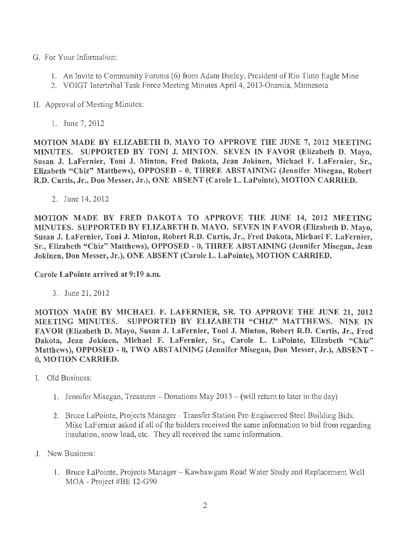- G. For Your Inforrnation:
	- 1. An Invite to Community Forums (6) from Adam Burley, President of Rio Tinto Eagle Mine
	- 2. VOIGT Intertribal Task Force Meeting Minutes April 4, 2013-0namia, Minnesota

H. Approval of Meeting Minutes:

1. June 7, 2012

MOTION MADE BY ELIZABETH D. MAYO TO APPROVE THE JUNE 7, 2012 MEETING MINUTES. SUPPORTED BY TONI J. MINTON. SEVEN IN FAVOR (Elizabeth D. Mayo, Susan J. LaFernier, Toni J. Minton, Fred Dakota, Jean Jokinen, Michael F. LaFernier, Sr., Elizabeth "Chiz" Matthews), OPPOSED - O, THREE ABSTAINING (Jennifer Misegan, Robert R.D. Curtis, Jr., Don Messer, Jr.), ONE ABSENT (Carole L. LaPointe), MOTION CARRIED.

2. June 14, 2012

MOTION MADE BY FRED DAKOTA TO APPROVE THE JUNE 14, 2012 MEETING MINUTES. SUPPORTED BY ELIZABETH D. MAYO. SEVEN IN FAVOR (Elizabeth D. Mayo, Susan J. LaFernier, Toni J. Minton, Robert R.D. Curtis, Jr., Fred Dakota, Michael F. LaFernier, Sr., Elizabeth "Chiz" Matthews), OPPOSED - 0, THREE ABSTAINING (Jennifer Misegan, Jean Jokinen, Don Messer, Jr.), ONE ABSENT (Carole L. LaPointe), MOTION CARRIED.

Carole LaPointe arrived at 9:19 a.m.

3. June 21, 2012

MOTION MADE BY MICHAEL F. LAFERNIER, SR. TO APPROVE THE JUNE 21, 2012 MEETING MINUTES. SUPPORTED BY ELIZABETH "CHIZ" MATTHEWS. NINE IN FAVOR (Elizabeth D. Mayo, Susan J. LaFernier, Toni J. Minton, Robert R.D. Curtis, Jr., Fred Dakota, Jean Jokinen, Michael F. LaFernier, Sr., Carole L. LaPointe, Elizabeth "Chiz" Matthews), OPPOSED - O, TWO ABSTAINING (Jennifer Misegan, Don Messer, Jr.), ABSENT - O, MOTION CARRIED.

- I. Old Business:
	- 1. Jennifer Misegan, Treasurer Donations May  $2013 -$  (will return to later in the day)
	- 2. Bruce LaPointe, Projects Manager Transfer Station Pre-Engineered Steel Building Bids. Mike LaF ernier asked if all of the bidders received the same information to bid from regarding insulation, snow load, etc. They all received the same information.
- J. New Business:
	- 1. Bruce LaPointe, Projects Manager Kawbawgam Road Water Study and Replacement Well MOA - Project #BE 12-G90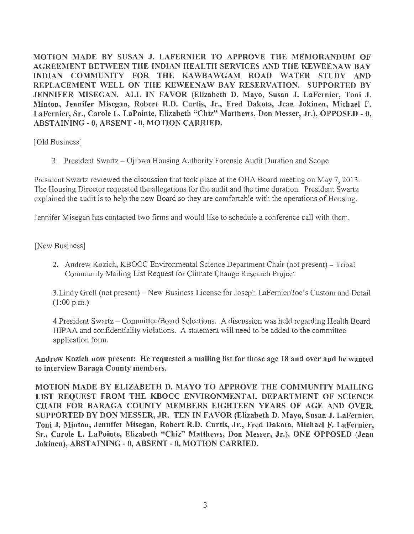MOTION MADE BY SUSAN J. LAFERNIER TO APPROVE THE MEMORANDUM OF AGREEMENT BETWEEN THE INDIAN HEALTH SERVICES AND THE KEWEENAW BAY INDIAN COMMUNITY FOR THE KAWBAWGAM ROAD WATER STUDY AND REPLACEMENT WELL ON THE KEWEENAW BAY RESERVATION. SUPPORTED BY JENNIFER MISEGAN. ALL IN FAVOR (Elizabeth D. Mayo, Susan J. LaFernier, Toni J. Minton, Jennifer Misegan, Robert R.D. Curtis, Jr., Fred Dakota, Jean Jokinen, Michael F. LaFernier, Sr., Carole L. LaPointe, Elizabeth "Chiz" Matthews, Don Messer, Jr.), OPPOSED - 0, ABSTAINING - O, ABSENT - 0, MOTION CARRIED.

[Old Business]

3. President Swartz - Ojibwa Housing Authority Forensic Audit Duration and Scope

President Swartz reviewed the discussion that took place at the OHA Board meeting on May 7, 2013. The Housing Director requested the allegations for the audit and the time duration. President Swartz explained the audit is to help the new Board so they are comfortable with the operations of Housing.

Jennifer Misegan has contacted two firms and would like to schedule a conference call with them.

[New Business]

2. Andrew Kozich, KBOCC Environmental Science Department Chair (not present) - Tribal Community Mailing List Request for Climate Change Research Project

3.Lindy Grell (not present)- New Business License for Joseph LaFernier/Joe's Custom and Detail (1:00 p.m.)

4. President Swartz - Committee/Board Selections. A discussion was held regarding Health Board HIP AA and confidentiality violations. A statement will need to be added to the committee application form.

Andrew Kozich now present: He requested a mailing list for those age 18 and over and he wanted to interview Baraga County members.

MOTION MADE BY ELIZABETH D. MAYO TO APPROVE THE COMMUNITY MAILING LIST REQUEST FROM THE KBOCC ENVIRONMENTAL DEPARTMENT OF SCIENCE CHAIR FOR BARAGA COUNTY MEMBERS EIGHTEEN YEARS OF AGE AND OVER. SUPPORTED BY DON MESSER, JR. TEN IN FAVOR (Elizabeth D. Mayo, Susan J. LaFernier, Toni J. Minton, Jennifer Misegan, Robert R.D. Curtis, Jr., Fred Dakota, Michael F. LaFernier, Sr., Carole L. LaPointe, Elizabeth "Chiz" Matthews, Don Messer, Jr.), ONE OPPOSED (Jean Jokinen), ABSTAINING - O, ABSENT - O, MOTION CARRIED.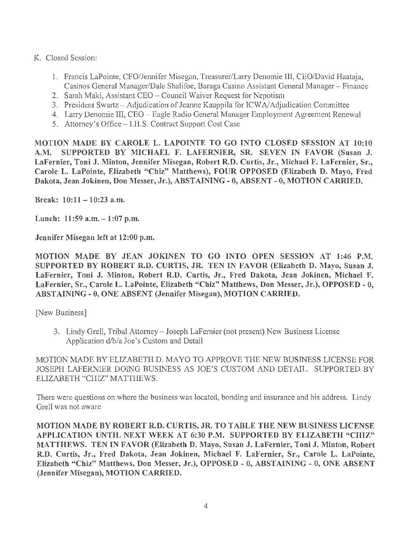- K. Closed Session:
	- 1. Francis LaPointe, CFO/Jennifer Misegan, Treasurer/Larry Denomie III, CEO/David Haataja, Casinos General Manager/Dale Shalifoe, Baraga Casino Assistant General Manager - Finance
	- 2. Sarah Maki, Assistant CEO Council Waiver Request for Nepotism
	- 3. President Swartz Adjudication of Jeanne Kauppila for ICW A/Adjudication Committee
	- 4. Larry Denomie III, CEO Eagle Radio General Manager Employment Agreement Renewal
	- 5. Attorney's Office I.H.S. Contract Support Cost Case

MOTION MADE BY CAROLE L. LAPOINTE TO GO INTO CLOSED SESSION AT 10:10 A.M. SUPPORTED BY MICHAEL F. LAFERNIER, SR. SEVEN IN FAVOR (Susan J. LaFernier, Toni J. Minton, Jennifer Misegan, Robert R.D. Curtis, Jr., Michael F. LaFernier, Sr., Carole L. LaPointe, Elizabeth "Chiz" Matthews), FOUR OPPOSED (Elizabeth D. Mayo, Fred Dakota, Jean Jokinen, Don Messer, Jr.), ABSTAINING - 0, ABSENT- 0, MOTION CARRIED.

Break:  $10:11 - 10:23$  a.m.

Lunch:  $11:59$  a.m.  $-1:07$  p.m.

Jennifer Misegan left at 12:00 p.m.

MOTION MADE BY JEAN JOKINEN TO GO INTO OPEN SESSION AT 1:46 P.M. SUPPORTED BY ROBERT R.D. CURTIS, JR. TEN IN FAVOR (Elizabeth D. Mayo, Susan J. LaFernier, Toni J. Minton, Robert R.D. Curtis, Jr., Fred Dakota, Jean Jokinen, Michael F. LaFernier, Sr., Carole L. LaPointe, Elizabeth "Chiz" Matthews, Don Messer, Jr.), OPPOSED - O, ABSTAINING - 0, ONE ABSENT (Jennifer Misegan), MOTION CARRIED.

[New Business]

3. Lindy Grell, Tribal Attorney - Joseph LaFernier (not present) New Business License Application d/b/a Joe's Custom and Detail

MOTION MADE BY ELIZABETH D. MA YO TO APPROVE THE NEW BUSINESS LICENSE FOR JOSEPH LAFERNIER DOING BUSINESS AS JOE'S CUSTOM AND DETAIL. SUPPORTED BY ELIZABETH "CHIZ" MATTHEWS.

There were questions on where the business was located, bonding and insurance and his address. Lindy Grell was not aware

MOTION MADE BY ROBERT R.D. CURTIS, JR. TO TABLE THE NEW BUSINESS LICENSE APPLICATION UNTIL NEXT WEEK AT 6:30 P.M. SUPPORTED BY ELIZABETH "CHIZ" MATTHEWS. TEN IN FAVOR (Elizabeth D. Mayo, Susan J. LaFernier, Toni J. Minton, Robert R.D. Curtis, Jr., Fred Dakota, Jean Jokinen, Michael F. LaFernier, Sr., Carole L. LaPointe, Elizabeth "Chiz" Matthews, Don Messer, Jr.), OPPOSED - O, ABSTAINING - O, ONE ABSENT (Jennifer Misegan), MOTION CARRIED.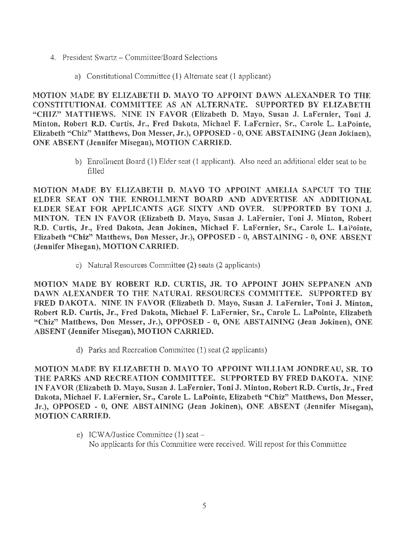- 4. President Swartz Committee/Board Selections
	- a) Constitutional Committee (1) Alternate seat (1 applicant)

MOTION MADE BY ELIZABETH D. MAYO TO APPOINT DAWN ALEXANDER TO THE CONSTITUTIONAL COMMITTEE AS AN ALTERNATE. SUPPORTED BY ELIZABETH "CHIZ" MATTHEWS. NINE IN FAVOR (Elizabeth D. Mayo, Susan J. LaFernier, Toni J. Minton, Robert R.D. Curtis, Jr., Fred Dakota, Michael F. LaFernier, Sr., Carole L. LaPointe, Elizabeth "Chiz" Matthews, Don Messer, Jr.), OPPOSED - O, ONE ABSTAINING (Jean Jokinen), ONE ABSENT (Jennifer Misegan), MOTION CARRIED.

> b) Enrollment Board (1) Elder seat (1 applicant). Also need an additional elder seat to be filled

MOTION MADE BY ELIZABETH D. MAYO TO APPOINT AMELIA SAPCUT TO THE ELDER SEAT ON THE ENROLLMENT BOARD AND ADVERTISE AN ADDITIONAL ELDER SEAT FOR APPLICANTS AGE SIXTY AND OVER. SUPPORTED BY TONI J. MINTON. TEN IN FAVOR (Elizabeth D. Mayo, Susan J. LaFernier, Toni J. Minton, Robert R.D. Curtis, Jr., Fred Dakota, Jean Jokinen, Michael F. LaFernier, Sr., Carole L. LaPointe, Elizabeth "Chiz" Matthews, Don Messer, Jr.), OPPOSED - O, ABSTAINING - O, ONE ABSENT (Jennifer Misegan), MOTION CARRIED.

c) Natural Resources Committee (2) seats (2 applicants)

MOTION MADE BY ROBERT R.D. CURTIS, JR. TO APPOINT JOHN SEPPANEN AND DAWN ALEXANDER TO THE NATURAL RESOURCES COMMITTEE. SUPPORTED BY FRED DAKOTA. NINE IN FAVOR (Elizabeth D. Mayo, Susan J. LaFernier, Toni J. Minton, Robert R.D. Curtis, Jr., Fred Dakota, Michael F. LaFernier, Sr., Carole L. LaPointe, Elizabeth "Chiz" Matthews, Don Messer, Jr.), OPPOSED - O, ONE ABSTAINING (Jean Jokinen), ONE ABSENT (Jennifer Misegan), MOTION CARRIED.

d) Parks and Recreation Committee (1) seat (2 applicants)

MOTION MADE BY ELIZABETH D. MAYO TO APPOINT WILLIAM JONDREAU, SR. TO THE PARKS AND RECREATION COMMITTEE. SUPPORTED BY FRED DAKOTA. NINE IN FAVOR (Elizabeth D. Mayo, Susan J. LaFernier, Toni J. Minton, Robert R.D. Curtis, Jr., Fred Dakota, Michael F. LaFernier, Sr., Carole L. LaPointe, Elizabeth "Chiz" Matthews, Don Messer, Jr.), OPPOSED - 0, ONE ABSTAINING (Jean Jokinen), ONE ABSENT (Jennifer Misegan}, MOTION CARRIED.

> e) ICWA/Justice Committee  $(1)$  seat  $-$ No applicants for this Committee were received. Will repost for this Committee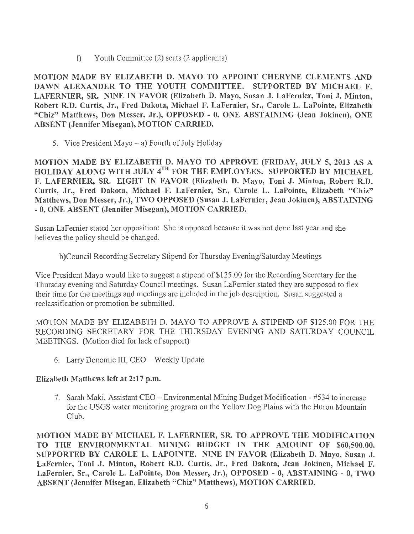f) Youth Committee (2) seats (2 applicants)

MOTION MADE BY ELIZABETH D. MAYO TO APPOINT CHERYNE CLEMENTS AND DAWN ALEXANDER TO THE YOUTH COMMITTEE. SUPPORTED BY MICHAEL F. LAFERNIER, SR. NINE IN FAVOR (Elizabeth D. Mayo, Susan J. LaFernier, Toni J. Minton, Robert R.D. Curtis, Jr., Fred Dakota, Michael F. LaFernier, Sr., Carole L. LaPointe, Elizabeth "Chiz" Matthews, Don Messer, Jr.), OPPOSED - O, ONE ABSTAINING (Jean Jokinen), ONE ABSENT (Jennifer Misegan), MOTION CARRIED.

5. Vice President Mayo  $-$  a) Fourth of July Holiday

MOTION MADE BY ELIZABETH D. MAYO TO APPROVE (FRIDAY, JULY 5, 2013 AS A HOLIDAY ALONG WITH JULY 4<sup>TH</sup> FOR THE EMPLOYEES. SUPPORTED BY MICHAEL F. LAFERNIER, SR. EIGHT IN FAVOR (Elizabeth D. Mayo, Toni J. Minton, Robert R.D. Curtis, Jr., Fred Dakota, Michael F. LaFernier, Sr., Carole L. LaPointe, Elizabeth "Chiz" Matthews, Don Messer, Jr.), TWO OPPOSED (Susan J. LaFernier, Jean Jokinen), ABSTAINING - 0, ONE ABSENT (Jennifer Misegan), MOTION CARRIED.

Susan LaFemier stated her opposition: She is opposed because it was not done last year and she believes the policy should be changed.

b )Council Recording Secretary Stipend for Thursday Evening/Saturday Meetings

Vice President Mayo would like to suggest a stipend of \$125.00 for the Recording Secretary for the Thursday evening and Saturday Council meetings. Susan LaFernier stated they are supposed to flex their time for the meetings and meetings are included in the job description. Susan suggested a reclassification or promotion be submitted.

MOTION MADE BY ELIZABETH D. MAYO TO APPROVE A STIPEND OF \$125.00 FOR THE RECORDING SECRETARY FOR THE THURSDAY EVENING AND SATURDAY COUNCIL MEETINGS. (Motion died for lack of support)

6. Larry Denornie III, CEO - Weekly Update

## Elizabeth Matthews left at 2:17 p.m.

7. Sarah Maki, Assistant CEO -Enviromnental Mining Budget Modification - #534 to increase for the USGS water monitoring program on the Yellow Dog Plains with the Huron Mountain Club.

MOTION MADE BY MICHAEL F. LAFERNIER, SR. TO APPROVE THE MODIFICATION TO THE ENVIRONMENTAL MINING BUDGET IN THE AMOUNT OF \$60,500.00. SUPPORTED BY CAROLE L. LAPOINTE. NINE IN FAVOR (Elizabeth D. Mayo, Susan J. LaFernier, Toni J. Minton, Robert R.D. Curtis, Jr., Fred Dakota, Jean Jokinen, Michael F. LaFernier, Sr., Carole L. LaPointe, Don Messer, Jr.), OPPOSED - O, ABSTAINING - 0, TWO ABSENT (Jennifer Misegan, Elizabeth "Chiz" Matthews), MOTION CARRIED.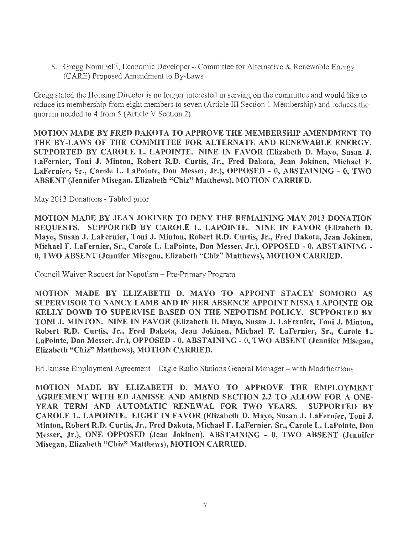8. Gregg Nominelli, Economic Developer – Committee for Alternative & Renewable Energy (CARE) Proposed Amendment to By-Laws

Gregg stated the Housing Director is no longer interested in serving on the committee and would like to reduce its membership from eight members to seven (Article III Section 1 Membership) and reduces the quorum needed to 4 from 5 (Article V Section 2)

MOTION MADE BY FRED DAKOTA TO APPROVE THE MEMBERSHIP AMENDMENT TO THE BY-LAWS OF THE COMMITTEE FOR ALTERNATE AND RENEWABLE ENERGY. SUPPORTED BY CAROLE L. LAPOINTE. NINE IN FAVOR (Elizabeth D. Mayo, Susan J. LaFernier, Toni J. Minton, Robert R.D. Curtis, Jr., Fred Dakota, Jean Jokinen, Michael F. LaFernier, Sr., Carole L. LaPointe, Don Messer, Jr.), OPPOSED - 0, ABSTAINING - O, TWO ABSENT (Jennifer Misegan, Elizabeth "Chiz" Matthews), MOTION CARRIED.

May 2013 Donations - Tabled prior

MOTION MADE BY JEAN JOKINEN TO DENY THE REMAINING MAY 2013 DONATION REQUESTS. SUPPORTED BY CAROLE L. LAPOINTE. NINE IN FAVOR (Elizabeth D. Mayo, Susan J. LaFernier, Toni J. Minton, Robert R.D. Curtis, Jr., Fred Dakota, Jean Jokinen, Michael F. LaFernier, Sr., Carole L. LaPointe, Don Messer, Jr.), OPPOSED - O, ABSTAINING - 0, TWO ABSENT (Jennifer Misegan, Elizabeth "Chiz" Matthews), MOTION CARRIED.

Council Waiver Request for Nepotism-Pre-Primary Program

MOTION MADE BY ELIZABETH D. MAYO TO APPOINT STACEY SOMORO AS SUPERVISOR TO NANCY LAMB AND IN HER ABSENCE APPOINT NISSA LAPOINTE OR KELLY DOWD TO SUPERVISE BASED ON THE NEPOTISM POLICY. SUPPORTED BY TONI J. MINTON. NINE IN FAVOR (Elizabeth D. Mayo, Susan J. LaFernier, Toni J. Minton, Robert R.D. Curtis, Jr., Fred Dakota, Jean Jokinen, Michael F. LaFernier, Sr., Carole L. LaPointe, Don Messer, Jr.), OPPOSED - O, ABSTAINING - 0, TWO ABSENT (Jennifer Misegan, Elizabeth "Chiz" Matthews), MOTION CARRIED.

Ed Janisse Employment Agreement - Eagle Radio Stations General Manager - with Modifications

MOTION MADE BY ELIZABETH D. MAYO TO APPROVE THE EMPLOYMENT AGREEMENT WITH ED JANISSE AND AMEND SECTION 2.2 TO ALLOW FOR A ONE-YEAR TERM AND AUTOMATIC RENEWAL FOR TWO YEARS. SUPPORTED BY CAROLE L. LAPOINTE. EIGHT IN FAVOR (Elizabeth D. Mayo, Susan J. LaFernier, Toni J. Minton, Robert R.D. Curtis, Jr., Fred Dakota, Michael F. LaFernier, Sr., Carole L. LaPointe, Don Messer, Jr.), ONE OPPOSED (Jean Jokinen), ABSTAINING - O, TWO ABSENT (Jennifer Misegan, Elizabeth "Chiz" Matthews), MOTION CARRIED.